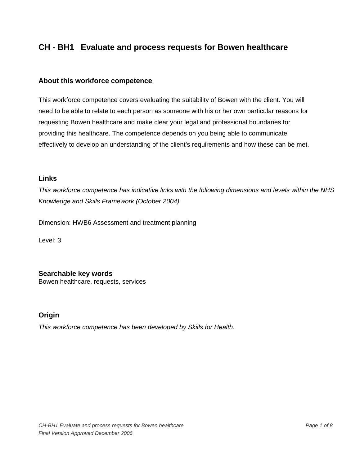#### **About this workforce competence**

This workforce competence covers evaluating the suitability of Bowen with the client. You will need to be able to relate to each person as someone with his or her own particular reasons for requesting Bowen healthcare and make clear your legal and professional boundaries for providing this healthcare. The competence depends on you being able to communicate effectively to develop an understanding of the client's requirements and how these can be met.

### **Links**

*This workforce competence has indicative links with the following dimensions and levels within the NHS Knowledge and Skills Framework (October 2004)* 

Dimension: HWB6 Assessment and treatment planning

Level: 3

**Searchable key words** 

Bowen healthcare, requests, services

### **Origin**

*This workforce competence has been developed by Skills for Health.*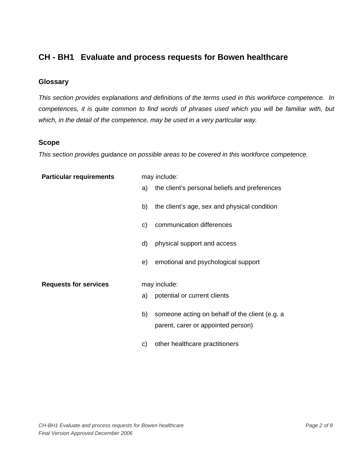### **Glossary**

*This section provides explanations and definitions of the terms used in this workforce competence. In competences, it is quite common to find words of phrases used which you will be familiar with, but which, in the detail of the competence, may be used in a very particular way.* 

## **Scope**

*This section provides guidance on possible areas to be covered in this workforce competence.* 

| <b>Particular requirements</b> |    | may include:                                   |
|--------------------------------|----|------------------------------------------------|
|                                | a) | the client's personal beliefs and preferences  |
|                                | b) | the client's age, sex and physical condition   |
|                                | C) | communication differences                      |
|                                | d) | physical support and access                    |
|                                | e) | emotional and psychological support            |
| <b>Requests for services</b>   |    | may include:                                   |
|                                | a) | potential or current clients                   |
|                                | b) | someone acting on behalf of the client (e.g. a |
|                                |    | parent, carer or appointed person)             |
|                                | C) | other healthcare practitioners                 |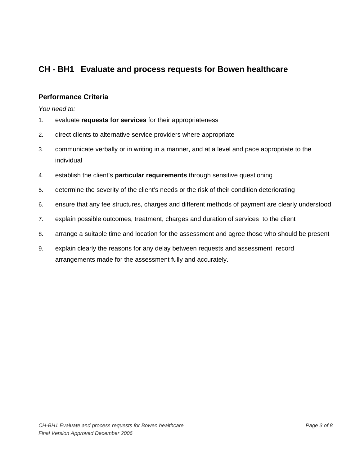## **Performance Criteria**

*You need to:* 

- 1. evaluate **requests for services** for their appropriateness
- 2. direct clients to alternative service providers where appropriate
- 3. communicate verbally or in writing in a manner, and at a level and pace appropriate to the individual
- 4. establish the client's **particular requirements** through sensitive questioning
- 5. determine the severity of the client's needs or the risk of their condition deteriorating
- 6. ensure that any fee structures, charges and different methods of payment are clearly understood
- 7. explain possible outcomes, treatment, charges and duration of services to the client
- 8. arrange a suitable time and location for the assessment and agree those who should be present
- 9. explain clearly the reasons for any delay between requests and assessment record arrangements made for the assessment fully and accurately.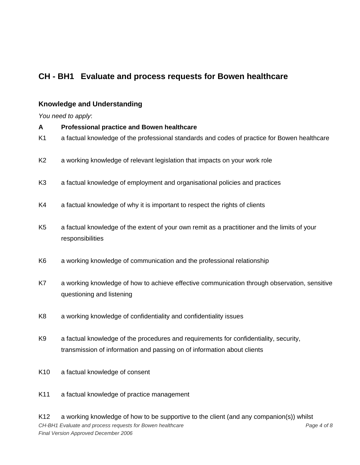# **Knowledge and Understanding**

*You need to apply*:

| A               | <b>Professional practice and Bowen healthcare</b>                                                                         |
|-----------------|---------------------------------------------------------------------------------------------------------------------------|
| K1              | a factual knowledge of the professional standards and codes of practice for Bowen healthcare                              |
| K <sub>2</sub>  | a working knowledge of relevant legislation that impacts on your work role                                                |
| K <sub>3</sub>  | a factual knowledge of employment and organisational policies and practices                                               |
| K4              | a factual knowledge of why it is important to respect the rights of clients                                               |
| K <sub>5</sub>  | a factual knowledge of the extent of your own remit as a practitioner and the limits of your<br>responsibilities          |
| K <sub>6</sub>  | a working knowledge of communication and the professional relationship                                                    |
| K7              | a working knowledge of how to achieve effective communication through observation, sensitive<br>questioning and listening |
| K <sub>8</sub>  | a working knowledge of confidentiality and confidentiality issues                                                         |
| K <sub>9</sub>  | a factual knowledge of the procedures and requirements for confidentiality, security,                                     |
|                 | transmission of information and passing on of information about clients                                                   |
| K <sub>10</sub> | a factual knowledge of consent                                                                                            |

K11 a factual knowledge of practice management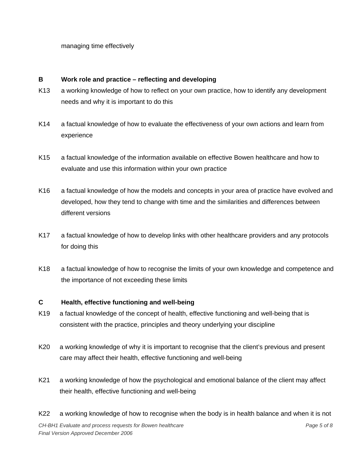managing time effectively

### **B Work role and practice – reflecting and developing**

- K13 a working knowledge of how to reflect on your own practice, how to identify any development needs and why it is important to do this
- K14 a factual knowledge of how to evaluate the effectiveness of your own actions and learn from experience
- K15 a factual knowledge of the information available on effective Bowen healthcare and how to evaluate and use this information within your own practice
- K16 a factual knowledge of how the models and concepts in your area of practice have evolved and developed, how they tend to change with time and the similarities and differences between different versions
- K17 a factual knowledge of how to develop links with other healthcare providers and any protocols for doing this
- K18 a factual knowledge of how to recognise the limits of your own knowledge and competence and the importance of not exceeding these limits

### **C Health, effective functioning and well-being**

- K19 a factual knowledge of the concept of health, effective functioning and well-being that is consistent with the practice, principles and theory underlying your discipline
- K20 a working knowledge of why it is important to recognise that the client's previous and present care may affect their health, effective functioning and well-being
- K21 a working knowledge of how the psychological and emotional balance of the client may affect their health, effective functioning and well-being
- K22 a working knowledge of how to recognise when the body is in health balance and when it is not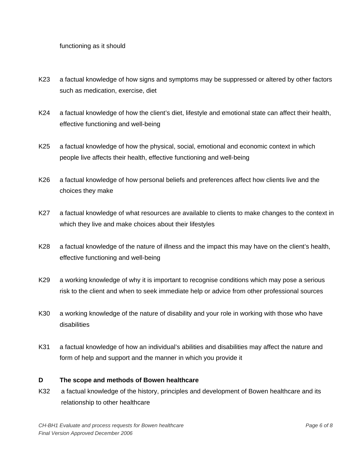#### functioning as it should

- K23 a factual knowledge of how signs and symptoms may be suppressed or altered by other factors such as medication, exercise, diet
- K24 a factual knowledge of how the client's diet, lifestyle and emotional state can affect their health, effective functioning and well-being
- K25 a factual knowledge of how the physical, social, emotional and economic context in which people live affects their health, effective functioning and well-being
- K26 a factual knowledge of how personal beliefs and preferences affect how clients live and the choices they make
- K27 a factual knowledge of what resources are available to clients to make changes to the context in which they live and make choices about their lifestyles
- K28 a factual knowledge of the nature of illness and the impact this may have on the client's health, effective functioning and well-being
- K29 a working knowledge of why it is important to recognise conditions which may pose a serious risk to the client and when to seek immediate help or advice from other professional sources
- K30 a working knowledge of the nature of disability and your role in working with those who have disabilities
- K31 a factual knowledge of how an individual's abilities and disabilities may affect the nature and form of help and support and the manner in which you provide it

#### **D The scope and methods of Bowen healthcare**

K32 a factual knowledge of the history, principles and development of Bowen healthcare and its relationship to other healthcare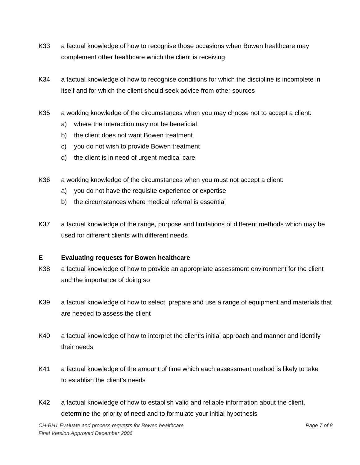- K33 a factual knowledge of how to recognise those occasions when Bowen healthcare may complement other healthcare which the client is receiving
- K34 a factual knowledge of how to recognise conditions for which the discipline is incomplete in itself and for which the client should seek advice from other sources
- K35 a working knowledge of the circumstances when you may choose not to accept a client:
	- a) where the interaction may not be beneficial
	- b) the client does not want Bowen treatment
	- c) you do not wish to provide Bowen treatment
	- d) the client is in need of urgent medical care
- K36 a working knowledge of the circumstances when you must not accept a client:
	- a) you do not have the requisite experience or expertise
	- b) the circumstances where medical referral is essential
- K37 a factual knowledge of the range, purpose and limitations of different methods which may be used for different clients with different needs

#### **E Evaluating requests for Bowen healthcare**

- K38 a factual knowledge of how to provide an appropriate assessment environment for the client and the importance of doing so
- K39 a factual knowledge of how to select, prepare and use a range of equipment and materials that are needed to assess the client
- K40 a factual knowledge of how to interpret the client's initial approach and manner and identify their needs
- K41 a factual knowledge of the amount of time which each assessment method is likely to take to establish the client's needs
- K42 a factual knowledge of how to establish valid and reliable information about the client, determine the priority of need and to formulate your initial hypothesis